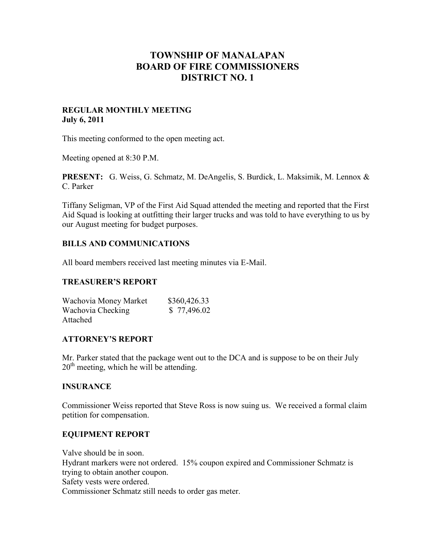# **TOWNSHIP OF MANALAPAN BOARD OF FIRE COMMISSIONERS DISTRICT NO. 1**

### **REGULAR MONTHLY MEETING July 6, 2011**

This meeting conformed to the open meeting act.

Meeting opened at 8:30 P.M.

**PRESENT:** G. Weiss, G. Schmatz, M. DeAngelis, S. Burdick, L. Maksimik, M. Lennox & C. Parker

Tiffany Seligman, VP of the First Aid Squad attended the meeting and reported that the First Aid Squad is looking at outfitting their larger trucks and was told to have everything to us by our August meeting for budget purposes.

# **BILLS AND COMMUNICATIONS**

All board members received last meeting minutes via E-Mail.

# **TREASURER'S REPORT**

| Wachovia Money Market | \$360,426.33 |
|-----------------------|--------------|
| Wachovia Checking     | \$77,496.02  |
| Attached              |              |

# **ATTORNEY'S REPORT**

Mr. Parker stated that the package went out to the DCA and is suppose to be on their July  $20<sup>th</sup>$  meeting, which he will be attending.

### **INSURANCE**

Commissioner Weiss reported that Steve Ross is now suing us. We received a formal claim petition for compensation.

### **EQUIPMENT REPORT**

Valve should be in soon. Hydrant markers were not ordered. 15% coupon expired and Commissioner Schmatz is trying to obtain another coupon. Safety vests were ordered. Commissioner Schmatz still needs to order gas meter.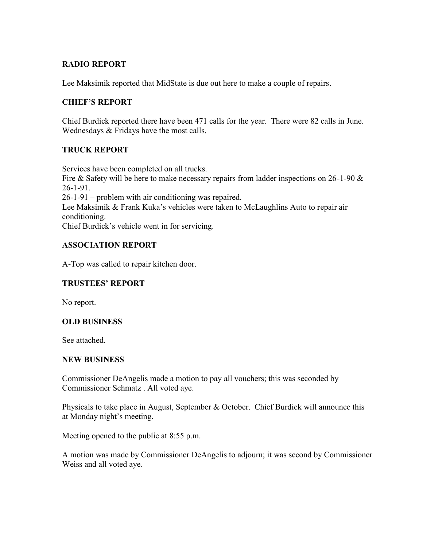# **RADIO REPORT**

Lee Maksimik reported that MidState is due out here to make a couple of repairs.

# **CHIEF'S REPORT**

Chief Burdick reported there have been 471 calls for the year. There were 82 calls in June. Wednesdays & Fridays have the most calls.

# **TRUCK REPORT**

Services have been completed on all trucks. Fire & Safety will be here to make necessary repairs from ladder inspections on  $26$ -1-90 & 26-1-91. 26-1-91 – problem with air conditioning was repaired. Lee Maksimik & Frank Kuka's vehicles were taken to McLaughlins Auto to repair air conditioning. Chief Burdick's vehicle went in for servicing.

# **ASSOCIATION REPORT**

A-Top was called to repair kitchen door.

# **TRUSTEES' REPORT**

No report.

# **OLD BUSINESS**

See attached.

### **NEW BUSINESS**

Commissioner DeAngelis made a motion to pay all vouchers; this was seconded by Commissioner Schmatz . All voted aye.

Physicals to take place in August, September & October. Chief Burdick will announce this at Monday night's meeting.

Meeting opened to the public at 8:55 p.m.

A motion was made by Commissioner DeAngelis to adjourn; it was second by Commissioner Weiss and all voted aye.